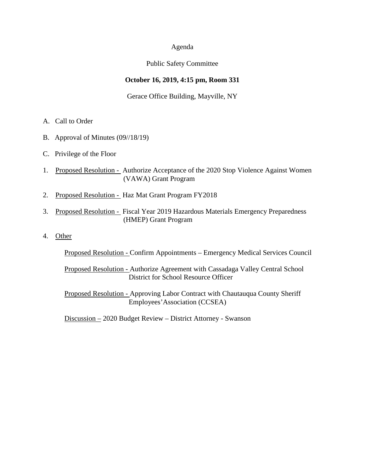### Agenda

### Public Safety Committee

## **October 16, 2019, 4:15 pm, Room 331**

### Gerace Office Building, Mayville, NY

- A. Call to Order
- B. Approval of Minutes (09//18/19)
- C. Privilege of the Floor
- 1. Proposed Resolution Authorize Acceptance of the 2020 Stop Violence Against Women (VAWA) Grant Program
- 2. Proposed Resolution Haz Mat Grant Program FY2018
- 3. Proposed Resolution Fiscal Year 2019 Hazardous Materials Emergency Preparedness (HMEP) Grant Program
- 4. Other

Proposed Resolution - Confirm Appointments – Emergency Medical Services Council

Proposed Resolution - Authorize Agreement with Cassadaga Valley Central School District for School Resource Officer

Proposed Resolution - Approving Labor Contract with Chautauqua County Sheriff Employees'Association (CCSEA)

Discussion – 2020 Budget Review – District Attorney - Swanson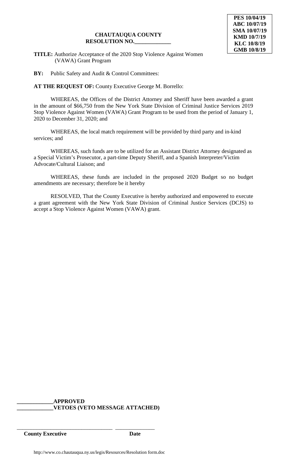#### **CHAUTAUQUA COUNTY RESOLUTION NO.\_\_\_\_\_\_\_\_\_\_\_\_\_**

**TITLE:** Authorize Acceptance of the 2020 Stop Violence Against Women (VAWA) Grant Program

**BY:** Public Safety and Audit & Control Committees:

**AT THE REQUEST OF:** County Executive George M. Borrello:

WHEREAS, the Offices of the District Attorney and Sheriff have been awarded a grant in the amount of \$66,750 from the New York State Division of Criminal Justice Services 2019 Stop Violence Against Women (VAWA) Grant Program to be used from the period of January 1, 2020 to December 31, 2020; and

WHEREAS, the local match requirement will be provided by third party and in-kind services; and

WHEREAS, such funds are to be utilized for an Assistant District Attorney designated as a Special Victim's Prosecutor, a part-time Deputy Sheriff, and a Spanish Interpreter/Victim Advocate/Cultural Liaison; and

WHEREAS, these funds are included in the proposed 2020 Budget so no budget amendments are necessary; therefore be it hereby

RESOLVED, That the County Executive is hereby authorized and empowered to execute a grant agreement with the New York State Division of Criminal Justice Services (DCJS) to accept a Stop Violence Against Women (VAWA) grant.

# **\_\_\_\_\_\_\_\_\_\_\_\_\_APPROVED \_\_\_\_\_\_\_\_\_\_\_\_\_VETOES (VETO MESSAGE ATTACHED)**

**County Executive Date**

\_\_\_\_\_\_\_\_\_\_\_\_\_\_\_\_\_\_\_\_\_\_\_\_\_\_\_\_\_\_\_\_\_\_ \_\_\_\_\_\_\_\_\_\_\_\_\_\_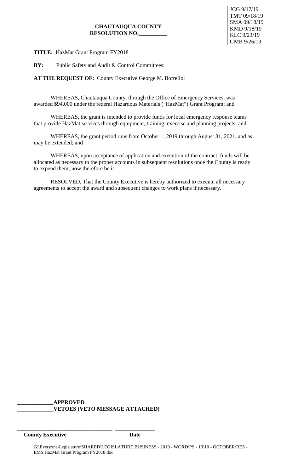# **CHAUTAUQUA COUNTY RESOLUTION NO.\_\_\_\_\_\_\_\_\_\_**

**TITLE:** HazMat Grant Program FY2018

**BY:** Public Safety and Audit & Control Committees:

**AT THE REQUEST OF:** County Executive George M. Borrello:

WHEREAS, Chautauqua County, through the Office of Emergency Services, was awarded \$94,000 under the federal Hazardous Materials ("HazMat") Grant Program; and

WHEREAS, the grant is intended to provide funds for local emergency response teams that provide HazMat services through equipment, training, exercise and planning projects; and

WHEREAS, the grant period runs from October 1, 2019 through August 31, 2021, and as may be extended; and

WHEREAS, upon acceptance of application and execution of the contract, funds will be allocated as necessary to the proper accounts in subsequent resolutions once the County is ready to expend them; now therefore be it

RESOLVED, That the County Executive is hereby authorized to execute all necessary agreements to accept the award and subsequent changes to work plans if necessary.

### **\_\_\_\_\_\_\_\_\_\_\_\_\_APPROVED \_\_\_\_\_\_\_\_\_\_\_\_\_VETOES (VETO MESSAGE ATTACHED)**

\_\_\_\_\_\_\_\_\_\_\_\_\_\_\_\_\_\_\_\_\_\_\_\_\_\_\_\_\_\_\_\_\_\_ \_\_\_\_\_\_\_\_\_\_\_\_\_\_

**County Executive Date**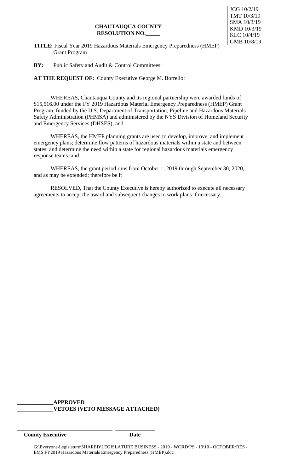## **CHAUTAUQUA COUNTY RESOLUTION NO.\_\_\_\_\_**



**TITLE:** Fiscal Year 2019 Hazardous Materials Emergency Preparedness (HMEP) Grant Program

**BY:** Public Safety and Audit & Control Committees:

**AT THE REQUEST OF:** County Executive George M. Borrello:

WHEREAS, Chautauqua County and its regional partnership were awarded funds of \$15,516.00 under the FY 2019 Hazardous Material Emergency Preparedness (HMEP) Grant Program, funded by the U.S. Department of Transportation, Pipeline and Hazardous Materials Safety Administration (PHMSA) and administered by the NYS Division of Homeland Security and Emergency Services (DHSES); and

WHEREAS, the HMEP planning grants are used to develop, improve, and implement emergency plans; determine flow patterns of hazardous materials within a state and between states; and determine the need within a state for regional hazardous materials emergency response teams; and

WHEREAS, the grant period runs from October 1, 2019 through September 30, 2020, and as may be extended; therefore be it

RESOLVED, That the County Executive is hereby authorized to execute all necessary agreements to accept the award and subsequent changes to work plans if necessary.

### **\_\_\_\_\_\_\_\_\_\_\_\_\_APPROVED \_\_\_\_\_\_\_\_\_\_\_\_\_VETOES (VETO MESSAGE ATTACHED)**

\_\_\_\_\_\_\_\_\_\_\_\_\_\_\_\_\_\_\_\_\_\_\_\_\_\_\_\_\_\_\_\_\_\_ \_\_\_\_\_\_\_\_\_\_\_\_\_\_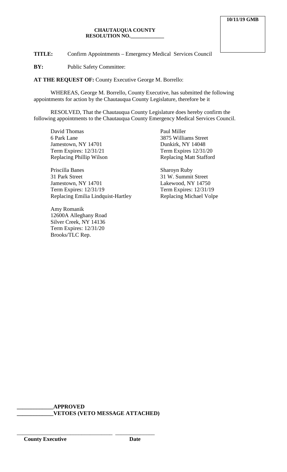#### **CHAUTAUQUA COUNTY RESOLUTION NO.\_\_\_\_\_\_\_\_\_\_\_\_\_**

**TITLE:** Confirm Appointments – Emergency Medical Services Council

**BY:** Public Safety Committee:

**AT THE REQUEST OF:** County Executive George M. Borrello:

WHEREAS, George M. Borrello, County Executive, has submitted the following appointments for action by the Chautauqua County Legislature, therefore be it

RESOLVED, That the Chautauqua County Legislature does hereby confirm the following appointments to the Chautauqua County Emergency Medical Services Council.

David Thomas 6 Park Lane Jamestown, NY 14701 Term Expires: 12/31/21 Replacing Phillip Wilson

Priscilla Banes 31 Park Street Jamestown, NY 14701 Term Expires: 12/31/19 Replacing Emilia Lindquist-Hartley

Amy Romanik 12600A Alleghany Road Silver Creek, NY 14136 Term Expires: 12/31/20 Brooks/TLC Rep.

Paul Miller 3875 Williams Street Dunkirk, NY 14048 Term Expires 12/31/20 Replacing Matt Stafford

Sharoyn Ruby 31 W. Summit Street Lakewood, NY 14750 Term Expires: 12/31/19 Replacing Michael Volpe

**\_\_\_\_\_\_\_\_\_\_\_\_\_APPROVED \_\_\_\_\_\_\_\_\_\_\_\_\_VETOES (VETO MESSAGE ATTACHED)**

\_\_\_\_\_\_\_\_\_\_\_\_\_\_\_\_\_\_\_\_\_\_\_\_\_\_\_\_\_\_\_\_\_\_ \_\_\_\_\_\_\_\_\_\_\_\_\_\_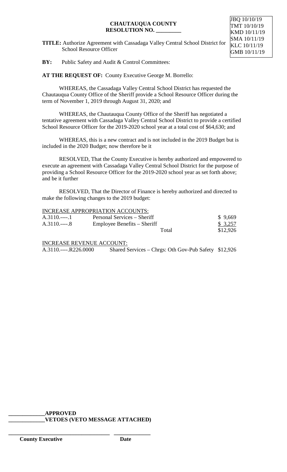### **CHAUTAUQUA COUNTY RESOLUTION NO. \_\_\_\_\_\_\_\_\_**

**TITLE:** Authorize Agreement with Cassadaga Valley Central School District for School Resource Officer

JBQ 10/10/19 TMT 10/10/19 KMD 10/11/19 SMA 10/11/19 KLC 10/11/19 GMB 10/11/19

**BY:** Public Safety and Audit & Control Committees:

**AT THE REQUEST OF:** County Executive George M. Borrello:

WHEREAS, the Cassadaga Valley Central School District has requested the Chautauqua County Office of the Sheriff provide a School Resource Officer during the term of November 1, 2019 through August 31, 2020; and

WHEREAS, the Chautauqua County Office of the Sheriff has negotiated a tentative agreement with Cassadaga Valley Central School District to provide a certified School Resource Officer for the 2019-2020 school year at a total cost of \$64,630; and

WHEREAS, this is a new contract and is not included in the 2019 Budget but is included in the 2020 Budget; now therefore be it

RESOLVED, That the County Executive is hereby authorized and empowered to execute an agreement with Cassadaga Valley Central School District for the purpose of providing a School Resource Officer for the 2019-2020 school year as set forth above; and be it further

RESOLVED, That the Director of Finance is hereby authorized and directed to make the following changes to the 2019 budget:

|               | <b>INCREASE APPROPRIATION ACCOUNTS:</b> |          |
|---------------|-----------------------------------------|----------|
| A.3110.----.1 | Personal Services – Sheriff             | \$9,669  |
| $A.3110$ 8    | Employee Benefits – Sheriff             | \$3,257  |
|               | Total                                   | \$12,926 |
|               |                                         |          |

INCREASE REVENUE ACCOUNT:

A.3110.----.R226.0000 Shared Services – Chrgs: Oth Gov-Pub Safety \$12,926

**\_\_\_\_\_\_\_\_\_\_\_\_\_APPROVED**

**\_\_\_\_\_\_\_\_\_\_\_\_\_\_\_\_\_\_\_\_\_\_\_\_\_\_\_\_\_\_\_\_\_\_\_\_ \_\_\_\_\_\_\_\_\_\_\_\_\_**

**\_\_\_\_\_\_\_\_\_\_\_\_\_VETOES (VETO MESSAGE ATTACHED)**